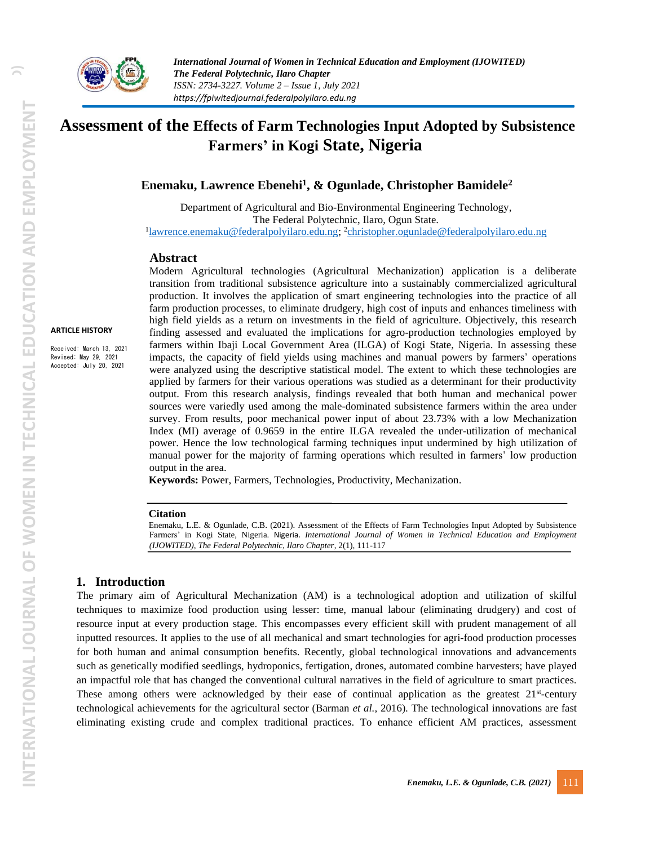

# **Assessment of the Effects of Farm Technologies Input Adopted by Subsistence Farmers' in Kogi State, Nigeria**

**Enemaku, Lawrence Ebenehi<sup>1</sup> , & Ogunlade, Christopher Bamidele<sup>2</sup>**

Department of Agricultural and Bio-Environmental Engineering Technology, The Federal Polytechnic, Ilaro, Ogun State. <sup>1</sup>[lawrence.enemaku@federalpolyilaro.edu.ng;](mailto:lawrence.enemaku@federalpolyilaro.edu.ng) <sup>2</sup>[christopher.ogunlade@federalpolyilaro.edu.ng](mailto:christopher.ogunlade@federalpolyilaro.edu.ng)

#### **Abstract**

Modern Agricultural technologies (Agricultural Mechanization) application is a deliberate transition from traditional subsistence agriculture into a sustainably commercialized agricultural production. It involves the application of smart engineering technologies into the practice of all farm production processes, to eliminate drudgery, high cost of inputs and enhances timeliness with high field yields as a return on investments in the field of agriculture. Objectively, this research finding assessed and evaluated the implications for agro-production technologies employed by farmers within Ibaji Local Government Area (ILGA) of Kogi State, Nigeria. In assessing these impacts, the capacity of field yields using machines and manual powers by farmers' operations were analyzed using the descriptive statistical model. The extent to which these technologies are applied by farmers for their various operations was studied as a determinant for their productivity output. From this research analysis, findings revealed that both human and mechanical power sources were variedly used among the male-dominated subsistence farmers within the area under survey. From results, poor mechanical power input of about 23.73% with a low Mechanization Index (MI) average of 0.9659 in the entire ILGA revealed the under-utilization of mechanical power. Hence the low technological farming techniques input undermined by high utilization of manual power for the majority of farming operations which resulted in farmers' low production output in the area.

**Keywords:** Power, Farmers, Technologies, Productivity, Mechanization.

#### **Citation**

Enemaku, L.E. & Ogunlade, C.B. (2021). Assessment of the Effects of Farm Technologies Input Adopted by Subsistence Farmers' in Kogi State, Nigeria. Nigeria. *International Journal of Women in Technical Education and Employment (IJOWITED), The Federal Polytechnic, Ilaro Chapter*, 2(1), 111-117

#### **1. Introduction**

The primary aim of Agricultural Mechanization (AM) is a technological adoption and utilization of skilful techniques to maximize food production using lesser: time, manual labour (eliminating drudgery) and cost of resource input at every production stage. This encompasses every efficient skill with prudent management of all inputted resources. It applies to the use of all mechanical and smart technologies for agri-food production processes for both human and animal consumption benefits. Recently, global technological innovations and advancements such as genetically modified seedlings, hydroponics, fertigation, drones, automated combine harvesters; have played an impactful role that has changed the conventional cultural narratives in the field of agriculture to smart practices. These among others were acknowledged by their ease of continual application as the greatest 21<sup>st</sup>-century technological achievements for the agricultural sector (Barman *et al.,* 2016). The technological innovations are fast eliminating existing crude and complex traditional practices. To enhance efficient AM practices, assessment

**ARTICLE HISTORY** Received: March 13, 2021 Revised: May 29, 2021 Accepted: July 20, 2021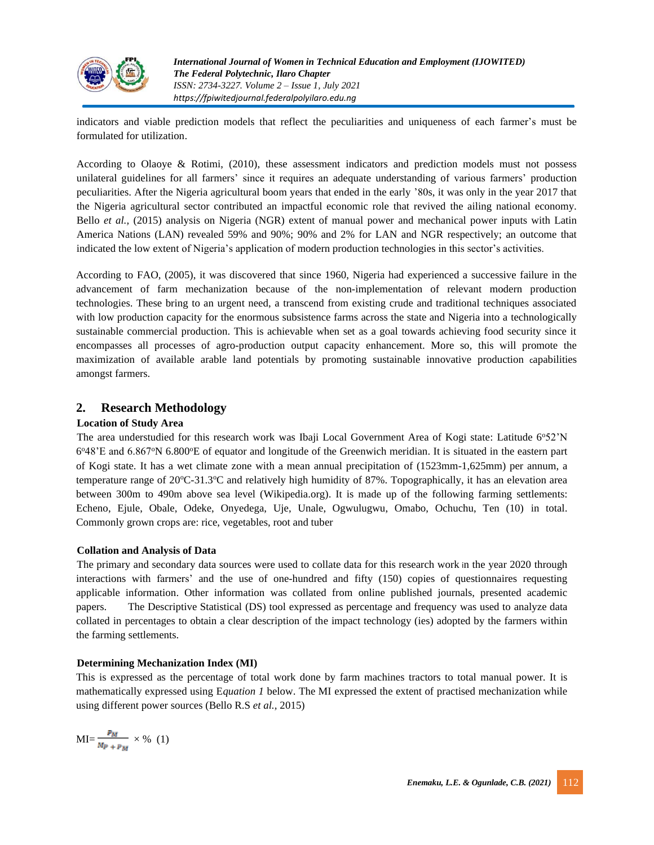

indicators and viable prediction models that reflect the peculiarities and uniqueness of each farmer's must be formulated for utilization.

According to Olaoye & Rotimi, (2010), these assessment indicators and prediction models must not possess unilateral guidelines for all farmers' since it requires an adequate understanding of various farmers' production peculiarities. After the Nigeria agricultural boom years that ended in the early '80s, it was only in the year 2017 that the Nigeria agricultural sector contributed an impactful economic role that revived the ailing national economy. Bello *et al.,* (2015) analysis on Nigeria (NGR) extent of manual power and mechanical power inputs with Latin America Nations (LAN) revealed 59% and 90%; 90% and 2% for LAN and NGR respectively; an outcome that indicated the low extent of Nigeria's application of modern production technologies in this sector's activities.

According to FAO, (2005), it was discovered that since 1960, Nigeria had experienced a successive failure in the advancement of farm mechanization because of the non-implementation of relevant modern production technologies. These bring to an urgent need, a transcend from existing crude and traditional techniques associated with low production capacity for the enormous subsistence farms across the state and Nigeria into a technologically sustainable commercial production. This is achievable when set as a goal towards achieving food security since it encompasses all processes of agro-production output capacity enhancement. More so, this will promote the maximization of available arable land potentials by promoting sustainable innovative production capabilities amongst farmers.

# **2. Research Methodology**

### **Location of Study Area**

The area understudied for this research work was Ibaji Local Government Area of Kogi state: Latitude 6°52'N 6°48'E and 6.867°N 6.800°E of equator and longitude of the Greenwich meridian. It is situated in the eastern part of Kogi state. It has a wet climate zone with a mean annual precipitation of (1523mm-1,625mm) per annum, a temperature range of 20°C-31.3°C and relatively high humidity of 87%. Topographically, it has an elevation area between 300m to 490m above sea level (Wikipedia.org). It is made up of the following farming settlements: Echeno, Ejule, Obale, Odeke, Onyedega, Uje, Unale, Ogwulugwu, Omabo, Ochuchu, Ten (10) in total. Commonly grown crops are: rice, vegetables, root and tuber

#### **Collation and Analysis of Data**

The primary and secondary data sources were used to collate data for this research work in the year 2020 through interactions with farmers' and the use of one-hundred and fifty (150) copies of questionnaires requesting applicable information. Other information was collated from online published journals, presented academic papers. The Descriptive Statistical (DS) tool expressed as percentage and frequency was used to analyze data collated in percentages to obtain a clear description of the impact technology (ies) adopted by the farmers within the farming settlements.

#### **Determining Mechanization Index (MI)**

This is expressed as the percentage of total work done by farm machines tractors to total manual power. It is mathematically expressed using E*quation 1* below. The MI expressed the extent of practised mechanization while using different power sources (Bello R.S *et al.,* 2015)

$$
MI = \frac{P_M}{M_{P+P_M}} \times \% (1)
$$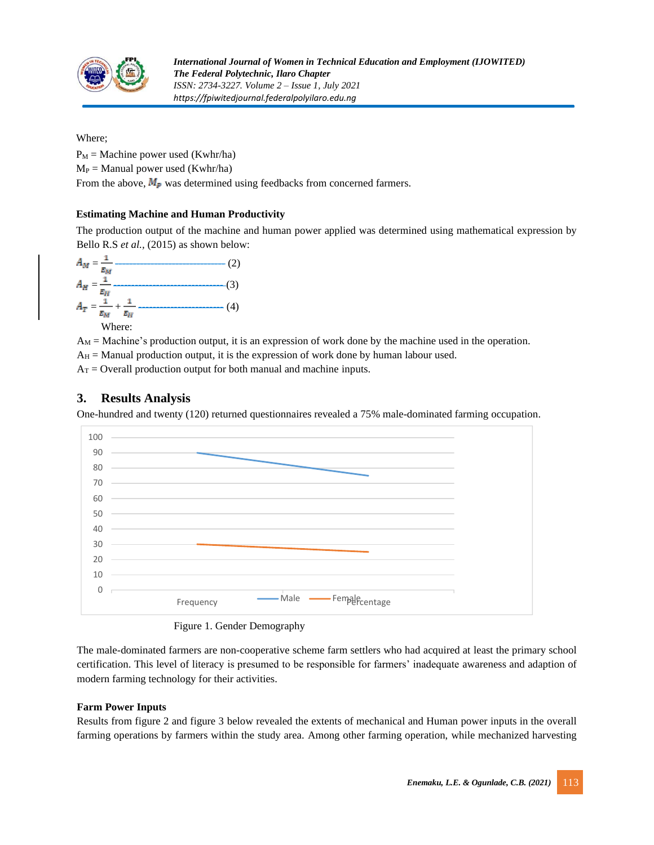

Where;

 $P_M$  = Machine power used (Kwhr/ha)  $M_P =$  Manual power used (Kwhr/ha)

From the above,  $M_{\rm p}$  was determined using feedbacks from concerned farmers.

# **Estimating Machine and Human Productivity**

The production output of the machine and human power applied was determined using mathematical expression by Bello R.S *et al.,* (2015) as shown below:

$$
A_{M} = \frac{1}{\epsilon_{M}} \tag{2}
$$
\n
$$
A_{H} = \frac{1}{\epsilon_{H}} \tag{3}
$$
\n
$$
A_{T} = \frac{1}{\epsilon_{M}} + \frac{1}{\epsilon_{H}} \tag{4}
$$
\nWhere:

 $A_M$  = Machine's production output, it is an expression of work done by the machine used in the operation.

 $A_H$  = Manual production output, it is the expression of work done by human labour used.

 $A_T =$  Overall production output for both manual and machine inputs.

# **3. Results Analysis**

One-hundred and twenty (120) returned questionnaires revealed a 75% male-dominated farming occupation.





The male-dominated farmers are non-cooperative scheme farm settlers who had acquired at least the primary school certification. This level of literacy is presumed to be responsible for farmers' inadequate awareness and adaption of modern farming technology for their activities.

# **Farm Power Inputs**

Results from figure 2 and figure 3 below revealed the extents of mechanical and Human power inputs in the overall farming operations by farmers within the study area. Among other farming operation, while mechanized harvesting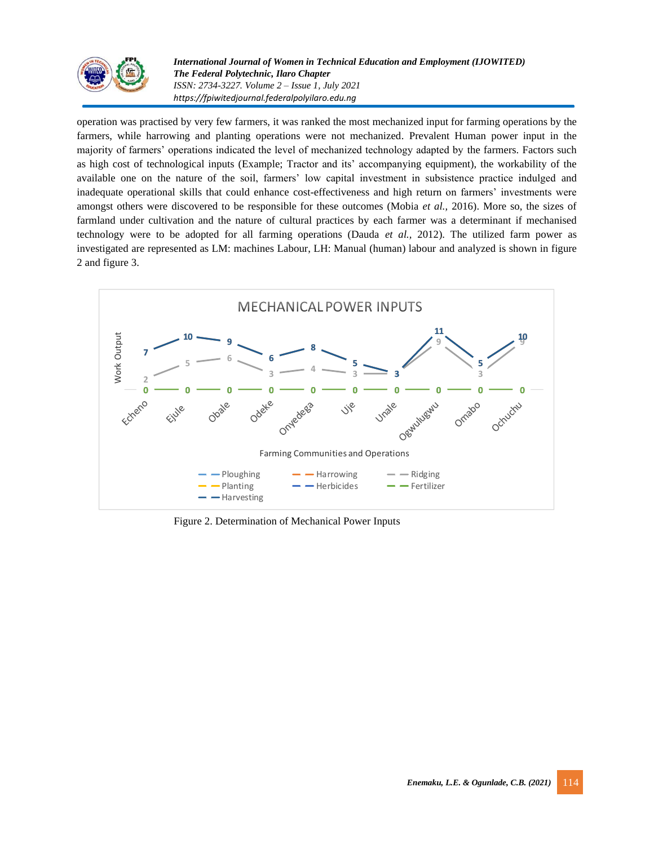

*International Journal of Women in Technical Education and Employment (IJOWITED) The Federal Polytechnic, Ilaro Chapter ISSN: 2734-3227. Volume 2 – Issue 1, July 2021 https://fpiwitedjournal.federalpolyilaro.edu.ng*

operation was practised by very few farmers, it was ranked the most mechanized input for farming operations by the farmers, while harrowing and planting operations were not mechanized. Prevalent Human power input in the majority of farmers' operations indicated the level of mechanized technology adapted by the farmers. Factors such as high cost of technological inputs (Example; Tractor and its' accompanying equipment), the workability of the available one on the nature of the soil, farmers' low capital investment in subsistence practice indulged and inadequate operational skills that could enhance cost-effectiveness and high return on farmers' investments were amongst others were discovered to be responsible for these outcomes (Mobia *et al.,* 2016). More so, the sizes of farmland under cultivation and the nature of cultural practices by each farmer was a determinant if mechanised technology were to be adopted for all farming operations (Dauda *et al.,* 2012). The utilized farm power as investigated are represented as LM: machines Labour, LH: Manual (human) labour and analyzed is shown in figure 2 and figure 3.



Figure 2. Determination of Mechanical Power Inputs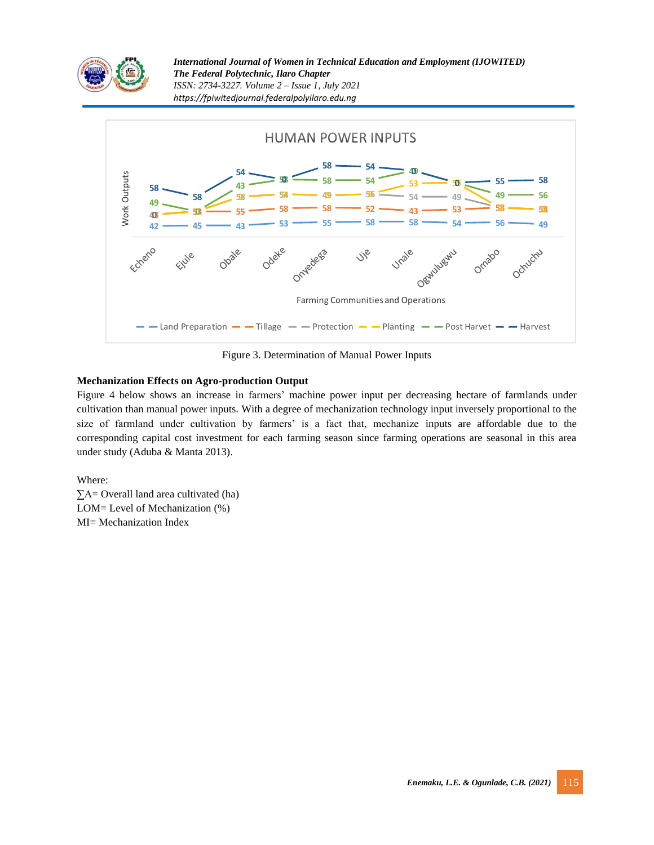

*International Journal of Women in Technical Education and Employment (IJOWITED) The Federal Polytechnic, Ilaro Chapter ISSN: 2734-3227. Volume 2 – Issue 1, July 2021 https://fpiwitedjournal.federalpolyilaro.edu.ng*



Figure 3. Determination of Manual Power Inputs

# **Mechanization Effects on Agro-production Output**

Figure 4 below shows an increase in farmers' machine power input per decreasing hectare of farmlands under cultivation than manual power inputs. With a degree of mechanization technology input inversely proportional to the size of farmland under cultivation by farmers' is a fact that, mechanize inputs are affordable due to the corresponding capital cost investment for each farming season since farming operations are seasonal in this area under study (Aduba & Manta 2013).

Where:

∑A= Overall land area cultivated (ha) LOM= Level of Mechanization (%) MI= Mechanization Index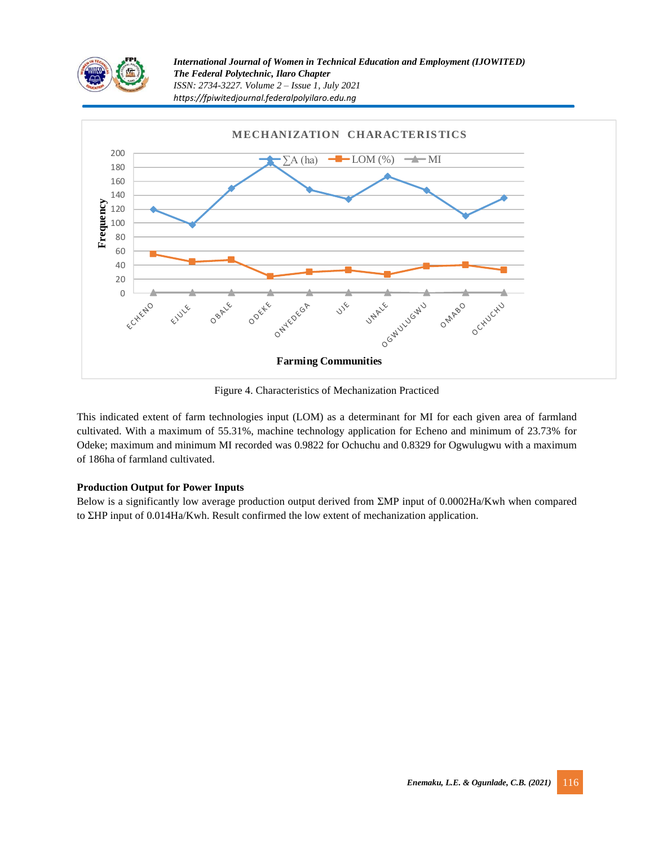



Figure 4. Characteristics of Mechanization Practiced

This indicated extent of farm technologies input (LOM) as a determinant for MI for each given area of farmland cultivated. With a maximum of 55.31%, machine technology application for Echeno and minimum of 23.73% for Odeke; maximum and minimum MI recorded was 0.9822 for Ochuchu and 0.8329 for Ogwulugwu with a maximum of 186ha of farmland cultivated.

#### **Production Output for Power Inputs**

Below is a significantly low average production output derived from ΣMP input of 0.0002Ha/Kwh when compared to ΣHP input of 0.014Ha/Kwh. Result confirmed the low extent of mechanization application.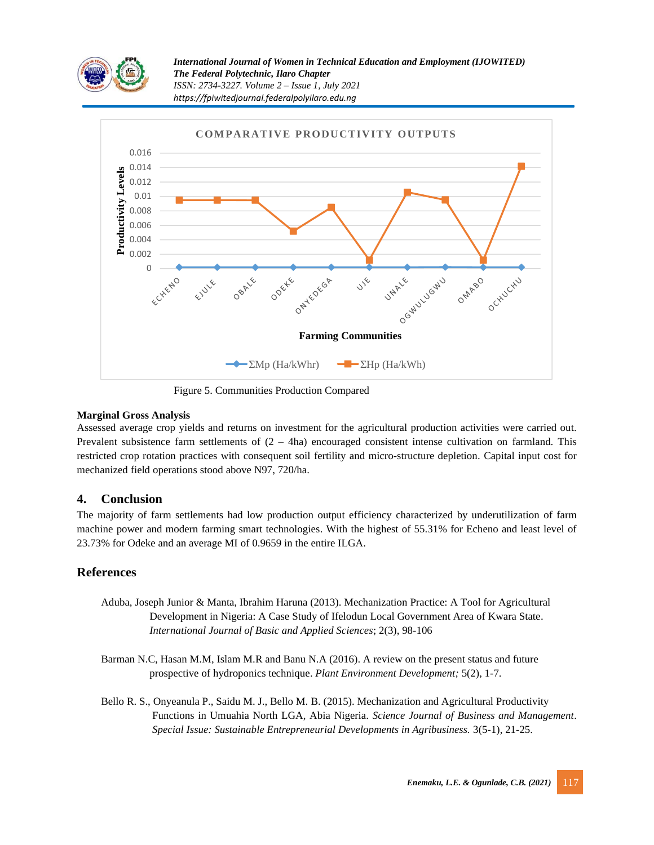

*International Journal of Women in Technical Education and Employment (IJOWITED) The Federal Polytechnic, Ilaro Chapter ISSN: 2734-3227. Volume 2 – Issue 1, July 2021 https://fpiwitedjournal.federalpolyilaro.edu.ng*



Figure 5. Communities Production Compared

# **Marginal Gross Analysis**

Assessed average crop yields and returns on investment for the agricultural production activities were carried out. Prevalent subsistence farm settlements of  $(2 - 4ha)$  encouraged consistent intense cultivation on farmland. This restricted crop rotation practices with consequent soil fertility and micro-structure depletion. Capital input cost for mechanized field operations stood above N97, 720/ha.

# **4. Conclusion**

The majority of farm settlements had low production output efficiency characterized by underutilization of farm machine power and modern farming smart technologies. With the highest of 55.31% for Echeno and least level of 23.73% for Odeke and an average MI of 0.9659 in the entire ILGA.

# **References**

- Aduba, Joseph Junior & Manta, Ibrahim Haruna (2013). Mechanization Practice: A Tool for Agricultural Development in Nigeria: A Case Study of Ifelodun Local Government Area of Kwara State. *International Journal of Basic and Applied Sciences*; 2(3), 98-106
- Barman N.C, Hasan M.M, Islam M.R and Banu N.A (2016). A review on the present status and future prospective of hydroponics technique. *Plant Environment Development;* 5(2), 1-7.
- Bello R. S., Onyeanula P., Saidu M. J., Bello M. B. (2015). Mechanization and Agricultural Productivity Functions in Umuahia North LGA, Abia Nigeria. *Science Journal of Business and Management*. *Special Issue: Sustainable Entrepreneurial Developments in Agribusiness.* 3(5-1), 21-25.